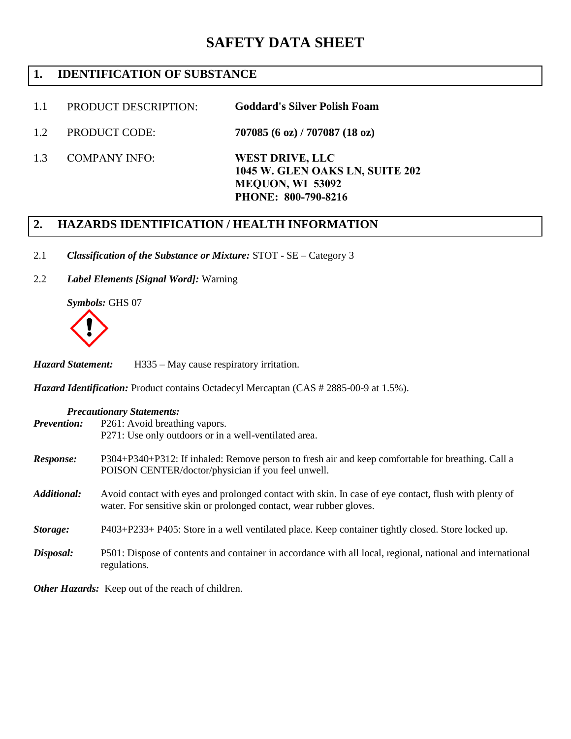# **SAFETY DATA SHEET**

# **1. IDENTIFICATION OF SUBSTANCE**

- 1.1 PRODUCT DESCRIPTION: **Goddard's Silver Polish Foam**
- 1.2 PRODUCT CODE: **707085 (6 oz) / 707087 (18 oz)**
	- COMPANY INFO: **WEST DRIVE, LLC 1045 W. GLEN OAKS LN, SUITE 202 MEQUON, WI 53092 PHONE: 800-790-8216**

# **2. HAZARDS IDENTIFICATION / HEALTH INFORMATION**

- 2.1 *Classification of the Substance or Mixture:* STOT SE Category 3
- 2.2 *Label Elements [Signal Word]:* Warning

*Symbols:* GHS 07



1.3

*Hazard Statement:* H335 – May cause respiratory irritation.

*Hazard Identification: Product contains Octadecyl Mercaptan (CAS # 2885-00-9 at 1.5%).* 

| <b>Precautionary Statements:</b> |                                                                                                                                                                              |  |  |  |  |
|----------------------------------|------------------------------------------------------------------------------------------------------------------------------------------------------------------------------|--|--|--|--|
| <b>Prevention:</b>               | P261: Avoid breathing vapors.                                                                                                                                                |  |  |  |  |
|                                  | P271: Use only outdoors or in a well-ventilated area.                                                                                                                        |  |  |  |  |
| Response:                        | P304+P340+P312: If inhaled: Remove person to fresh air and keep comfortable for breathing. Call a<br>POISON CENTER/doctor/physician if you feel unwell.                      |  |  |  |  |
| <b>Additional:</b>               | Avoid contact with eyes and prolonged contact with skin. In case of eye contact, flush with plenty of<br>water. For sensitive skin or prolonged contact, wear rubber gloves. |  |  |  |  |
| Storage:                         | P403+P233+P405: Store in a well ventilated place. Keep container tightly closed. Store locked up.                                                                            |  |  |  |  |
| Disposal:                        | P501: Dispose of contents and container in accordance with all local, regional, national and international<br>regulations.                                                   |  |  |  |  |

*Other Hazards:* Keep out of the reach of children.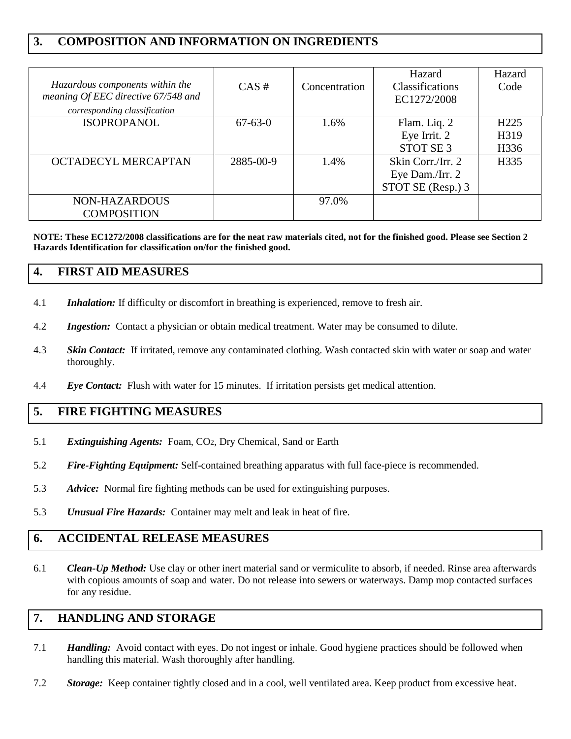# **3. COMPOSITION AND INFORMATION ON INGREDIENTS**

| Hazardous components within the<br>meaning Of EEC directive 67/548 and<br>corresponding classification | $CAS \#$      | Concentration | Hazard<br><b>Classifications</b><br>EC1272/2008 | Hazard<br>Code   |
|--------------------------------------------------------------------------------------------------------|---------------|---------------|-------------------------------------------------|------------------|
| <b>ISOPROPANOL</b>                                                                                     | $67 - 63 - 0$ | 1.6%          | Flam. Liq. 2                                    | H <sub>225</sub> |
|                                                                                                        |               |               | Eye Irrit. 2                                    | H319             |
|                                                                                                        |               |               | STOT SE <sub>3</sub>                            | H336             |
| OCTADECYL MERCAPTAN                                                                                    | 2885-00-9     | 1.4%          | Skin Corr./Irr. 2                               | H335             |
|                                                                                                        |               |               | Eye Dam./Irr. 2                                 |                  |
|                                                                                                        |               |               | STOT SE (Resp.) 3                               |                  |
| NON-HAZARDOUS                                                                                          |               | 97.0%         |                                                 |                  |
| <b>COMPOSITION</b>                                                                                     |               |               |                                                 |                  |

**NOTE: These EC1272/2008 classifications are for the neat raw materials cited, not for the finished good. Please see Section 2 Hazards Identification for classification on/for the finished good.**

# **4. FIRST AID MEASURES**

- 4.1 *Inhalation:* If difficulty or discomfort in breathing is experienced, remove to fresh air.
- 4.2 *Ingestion:* Contact a physician or obtain medical treatment. Water may be consumed to dilute.
- 4.3 *Skin Contact:* If irritated, remove any contaminated clothing. Wash contacted skin with water or soap and water thoroughly.
- 4.4 *Eye Contact:* Flush with water for 15 minutes. If irritation persists get medical attention.

# **5. FIRE FIGHTING MEASURES**

- 5.1 *Extinguishing Agents:* Foam, CO2, Dry Chemical, Sand or Earth
- 5.2 *Fire-Fighting Equipment:* Self-contained breathing apparatus with full face-piece is recommended.
- 5.3 *Advice:* Normal fire fighting methods can be used for extinguishing purposes.
- 5.3 *Unusual Fire Hazards:* Container may melt and leak in heat of fire.

# **6. ACCIDENTAL RELEASE MEASURES**

6.1 *Clean-Up Method:* Use clay or other inert material sand or vermiculite to absorb, if needed. Rinse area afterwards with copious amounts of soap and water. Do not release into sewers or waterways. Damp mop contacted surfaces for any residue.

# **7. HANDLING AND STORAGE**

- 7.1 *Handling:*Avoid contact with eyes. Do not ingest or inhale. Good hygiene practices should be followed when handling this material. Wash thoroughly after handling.
- 7.2 *Storage:* Keep container tightly closed and in a cool, well ventilated area. Keep product from excessive heat.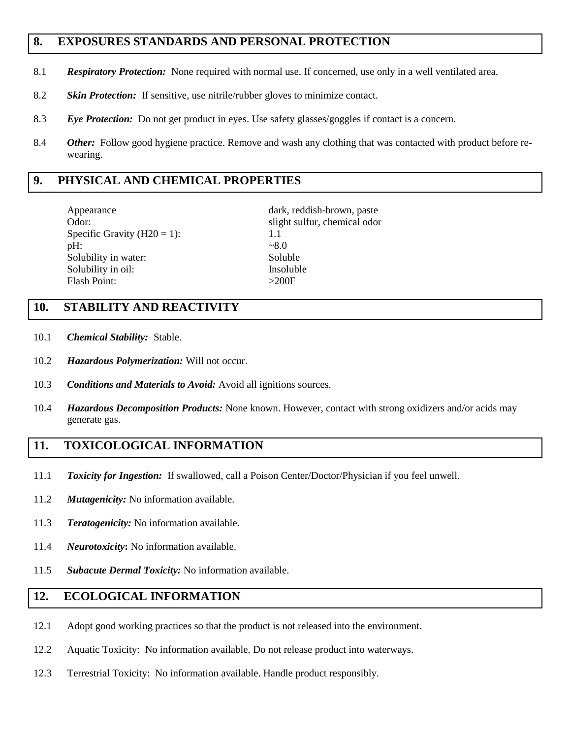# **8. EXPOSURES STANDARDS AND PERSONAL PROTECTION**

- 8.1 *Respiratory Protection:* None required with normal use. If concerned, use only in a well ventilated area.
- 8.2 *Skin Protection:* If sensitive, use nitrile/rubber gloves to minimize contact.
- 8.3 *Eye Protection:* Do not get product in eyes. Use safety glasses/goggles if contact is a concern.
- 8.4 *Other:* Follow good hygiene practice. Remove and wash any clothing that was contacted with product before rewearing.

#### **9. PHYSICAL AND CHEMICAL PROPERTIES**

Appearance dark, reddish-brown, paste Odor: slight sulfur, chemical odor Specific Gravity  $(H20 = 1)$ : 1.1  $pH:$   $\sim 8.0$ Solubility in water: Soluble Solubility in oil: Insoluble Flash Point:  $>200F$ 

### **10. STABILITY AND REACTIVITY**

- 10.1 *Chemical Stability:* Stable.
- 10.2 *Hazardous Polymerization:* Will not occur.
- 10.3 *Conditions and Materials to Avoid:* Avoid all ignitions sources.
- 10.4 *Hazardous Decomposition Products:* None known. However, contact with strong oxidizers and/or acids may generate gas.

# **11. TOXICOLOGICAL INFORMATION**

- 11.1 *Toxicity for Ingestion:* If swallowed, call a Poison Center/Doctor/Physician if you feel unwell.
- 11.2 *Mutagenicity:* No information available.
- 11.3 *Teratogenicity:* No information available.
- 11.4 *Neurotoxicity***:** No information available.
- 11.5 *Subacute Dermal Toxicity:* No information available.

#### **12. ECOLOGICAL INFORMATION**

- 12.1 Adopt good working practices so that the product is not released into the environment.
- 12.2 Aquatic Toxicity: No information available. Do not release product into waterways.
- 12.3 Terrestrial Toxicity: No information available. Handle product responsibly.